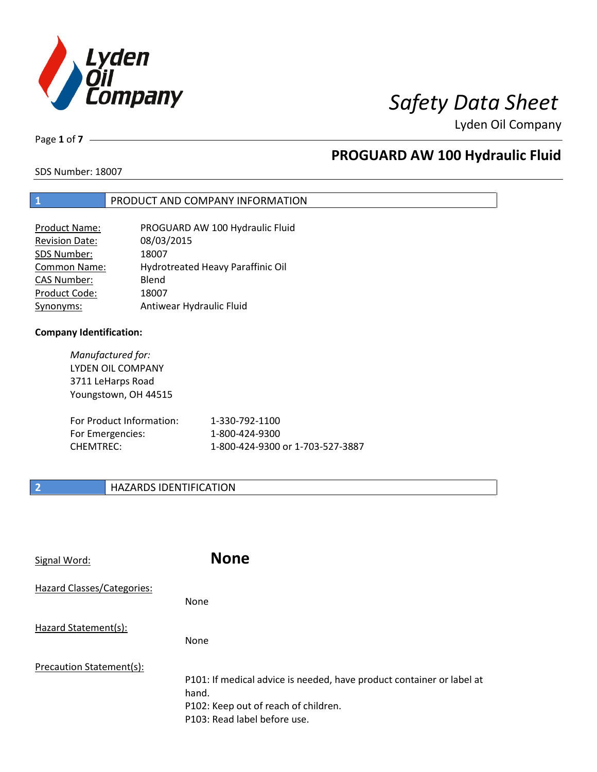

Page **1** of **7**

# **PROGUARD AW 100 Hydraulic Fluid**

SDS Number: 18007

### **1** PRODUCT AND COMPANY INFORMATION

| <b>Product Name:</b>  | PROGUARD AW 100 Hydraulic Fluid   |
|-----------------------|-----------------------------------|
| <b>Revision Date:</b> | 08/03/2015                        |
| SDS Number:           | 18007                             |
| <b>Common Name:</b>   | Hydrotreated Heavy Paraffinic Oil |
| <b>CAS Number:</b>    | Blend                             |
| Product Code:         | 18007                             |
| Synonyms:             | Antiwear Hydraulic Fluid          |

### **Company Identification:**

*Manufactured for:* LYDEN OIL COMPANY 3711 LeHarps Road Youngstown, OH 44515

| For Product Information: | 1-330-792-1100                   |
|--------------------------|----------------------------------|
| For Emergencies:         | 1-800-424-9300                   |
| CHEMTREC:                | 1-800-424-9300 or 1-703-527-3887 |

## **2 HAZARDS IDENTIFICATION**

| Signal Word:               | <b>None</b>                                                                                                                                            |
|----------------------------|--------------------------------------------------------------------------------------------------------------------------------------------------------|
| Hazard Classes/Categories: | <b>None</b>                                                                                                                                            |
| Hazard Statement(s):       | <b>None</b>                                                                                                                                            |
| Precaution Statement(s):   | P101: If medical advice is needed, have product container or label at<br>hand.<br>P102: Keep out of reach of children.<br>P103: Read label before use. |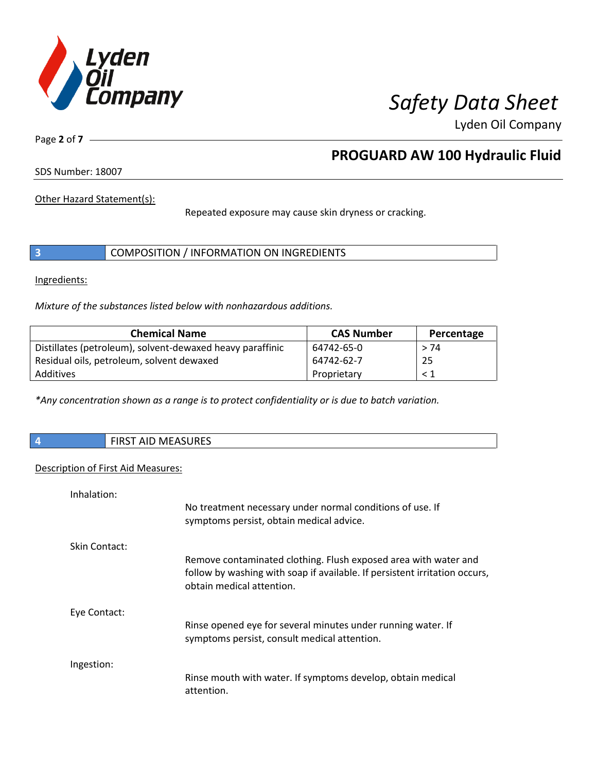

Page **2** of **7**

# **PROGUARD AW 100 Hydraulic Fluid**

SDS Number: 18007

Other Hazard Statement(s):

Repeated exposure may cause skin dryness or cracking.

|  | COMPOSITION / INFORMATION ON INGREDIENTS |
|--|------------------------------------------|
|--|------------------------------------------|

Ingredients:

*Mixture of the substances listed below with nonhazardous additions.*

| <b>Chemical Name</b>                                      | <b>CAS Number</b> | Percentage |
|-----------------------------------------------------------|-------------------|------------|
| Distillates (petroleum), solvent-dewaxed heavy paraffinic | 64742-65-0        | > 74       |
| Residual oils, petroleum, solvent dewaxed                 | 64742-62-7        | 25         |
| Additives                                                 | Proprietary       | $\leq 1$   |

*\*Any concentration shown as a range is to protect confidentiality or is due to batch variation.*

| AID MEASURES<br>FIRST |
|-----------------------|
|                       |

### Description of First Aid Measures:

| Inhalation:   |                                                                                                                                                                            |
|---------------|----------------------------------------------------------------------------------------------------------------------------------------------------------------------------|
|               | No treatment necessary under normal conditions of use. If<br>symptoms persist, obtain medical advice.                                                                      |
| Skin Contact: |                                                                                                                                                                            |
|               | Remove contaminated clothing. Flush exposed area with water and<br>follow by washing with soap if available. If persistent irritation occurs,<br>obtain medical attention. |
| Eye Contact:  |                                                                                                                                                                            |
|               | Rinse opened eye for several minutes under running water. If<br>symptoms persist, consult medical attention.                                                               |
| Ingestion:    |                                                                                                                                                                            |
|               | Rinse mouth with water. If symptoms develop, obtain medical<br>attention.                                                                                                  |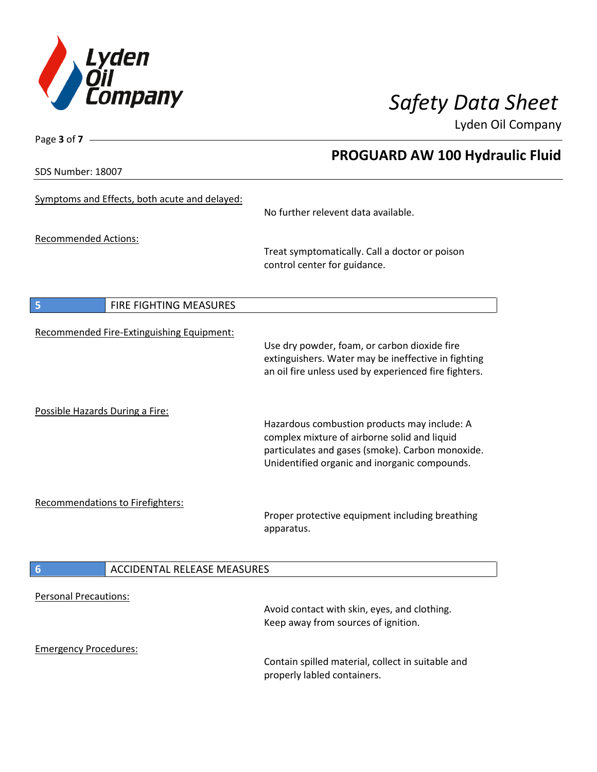

SDS Number: 18007

Page **3** of **7**

# **PROGUARD AW 100 Hydraulic Fluid**

| Symptoms and Effects, both acute and delayed:         | No further relevent data available.                                                                                                                                                               |
|-------------------------------------------------------|---------------------------------------------------------------------------------------------------------------------------------------------------------------------------------------------------|
| <b>Recommended Actions:</b>                           | Treat symptomatically. Call a doctor or poison<br>control center for guidance.                                                                                                                    |
| $\overline{\mathbf{5}}$<br>FIRE FIGHTING MEASURES     |                                                                                                                                                                                                   |
| Recommended Fire-Extinguishing Equipment:             | Use dry powder, foam, or carbon dioxide fire<br>extinguishers. Water may be ineffective in fighting<br>an oil fire unless used by experienced fire fighters.                                      |
| Possible Hazards During a Fire:                       | Hazardous combustion products may include: A<br>complex mixture of airborne solid and liquid<br>particulates and gases (smoke). Carbon monoxide.<br>Unidentified organic and inorganic compounds. |
| <b>Recommendations to Firefighters:</b>               | Proper protective equipment including breathing<br>apparatus.                                                                                                                                     |
| <b>ACCIDENTAL RELEASE MEASURES</b><br>$6\phantom{1}6$ |                                                                                                                                                                                                   |
| <b>Personal Precautions:</b>                          | Avoid contact with skin, eyes, and clothing.<br>Keep away from sources of ignition.                                                                                                               |
| <b>Emergency Procedures:</b>                          | Contain spilled material, collect in suitable and<br>properly labled containers.                                                                                                                  |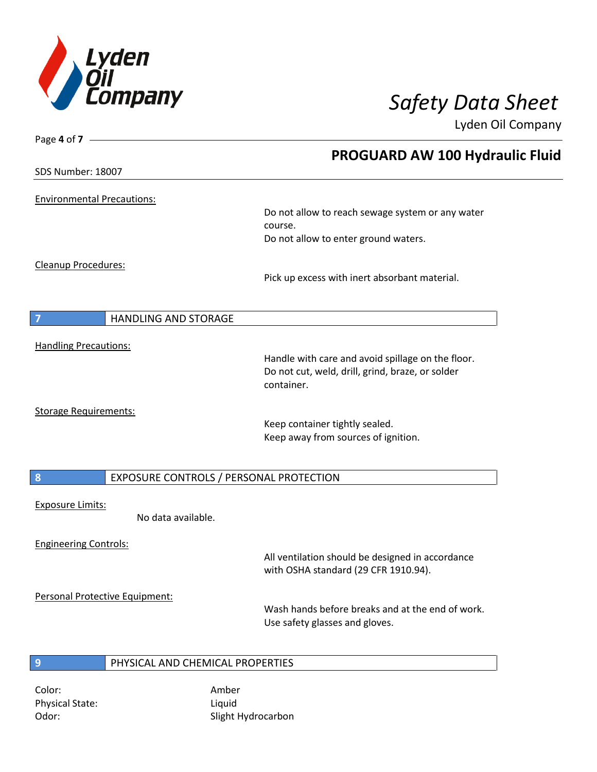

Page **4** of **7**

Lyden Oil Company

|                                   |                                         | <b>PROGUARD AW 100 Hydraulic Fluid</b>            |  |
|-----------------------------------|-----------------------------------------|---------------------------------------------------|--|
| SDS Number: 18007                 |                                         |                                                   |  |
| <b>Environmental Precautions:</b> |                                         |                                                   |  |
|                                   |                                         | Do not allow to reach sewage system or any water  |  |
|                                   |                                         | course.                                           |  |
|                                   |                                         | Do not allow to enter ground waters.              |  |
| Cleanup Procedures:               |                                         |                                                   |  |
|                                   |                                         | Pick up excess with inert absorbant material.     |  |
|                                   |                                         |                                                   |  |
| $\overline{7}$                    | <b>HANDLING AND STORAGE</b>             |                                                   |  |
| <b>Handling Precautions:</b>      |                                         |                                                   |  |
|                                   |                                         | Handle with care and avoid spillage on the floor. |  |
|                                   |                                         | Do not cut, weld, drill, grind, braze, or solder  |  |
|                                   |                                         | container.                                        |  |
| <b>Storage Requirements:</b>      |                                         |                                                   |  |
|                                   |                                         | Keep container tightly sealed.                    |  |
|                                   |                                         | Keep away from sources of ignition.               |  |
|                                   |                                         |                                                   |  |
| 8                                 | EXPOSURE CONTROLS / PERSONAL PROTECTION |                                                   |  |
| <b>Exposure Limits:</b>           |                                         |                                                   |  |
|                                   | No data available.                      |                                                   |  |
| <b>Engineering Controls:</b>      |                                         |                                                   |  |
|                                   |                                         | All ventilation should be designed in accordance  |  |
|                                   |                                         | with OSHA standard (29 CFR 1910.94).              |  |
|                                   | Personal Protective Equipment:          |                                                   |  |
|                                   |                                         | Wash hands before breaks and at the end of work.  |  |
|                                   |                                         | Use safety glasses and gloves.                    |  |
|                                   |                                         |                                                   |  |
| 9                                 | PHYSICAL AND CHEMICAL PROPERTIES        |                                                   |  |
|                                   |                                         |                                                   |  |

Color: Amber Physical State: Liquid

Odor: Slight Hydrocarbon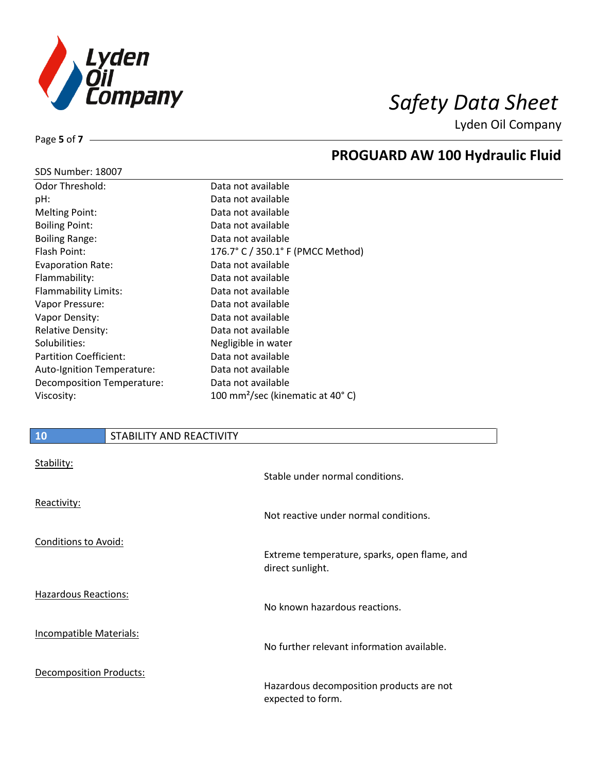

## **PROGUARD AW 100 Hydraulic Fluid**

| SDS Number: 18007 |  |
|-------------------|--|
|-------------------|--|

Page **5** of **7**

| <b>Odor Threshold:</b>        | Data not available                           |
|-------------------------------|----------------------------------------------|
| pH:                           | Data not available                           |
| <b>Melting Point:</b>         | Data not available                           |
| <b>Boiling Point:</b>         | Data not available                           |
| <b>Boiling Range:</b>         | Data not available                           |
| Flash Point:                  | 176.7° C / 350.1° F (PMCC Method)            |
| <b>Evaporation Rate:</b>      | Data not available                           |
| Flammability:                 | Data not available                           |
| Flammability Limits:          | Data not available                           |
| Vapor Pressure:               | Data not available                           |
| Vapor Density:                | Data not available                           |
| <b>Relative Density:</b>      | Data not available                           |
| Solubilities:                 | Negligible in water                          |
| <b>Partition Coefficient:</b> | Data not available                           |
| Auto-Ignition Temperature:    | Data not available                           |
| Decomposition Temperature:    | Data not available                           |
| Viscosity:                    | 100 mm <sup>2</sup> /sec (kinematic at 40°C) |

# **10** STABILITY AND REACTIVITY Stability: Stable under normal conditions. Reactivity: Not reactive under normal conditions. Conditions to Avoid: Extreme temperature, sparks, open flame, and

direct sunlight.

No known hazardous reactions.

Hazardous Reactions:

Incompatible Materials:

Decomposition Products:

Hazardous decomposition products are not expected to form.

No further relevant information available.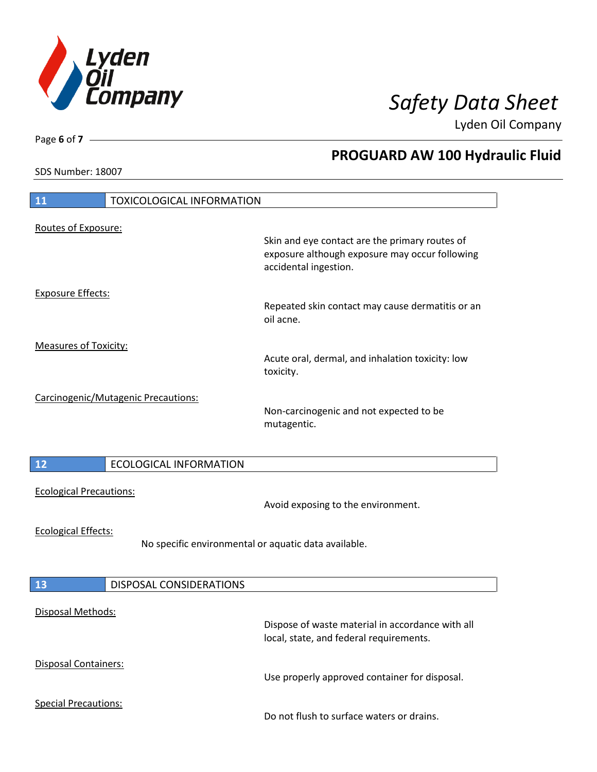

**PROGUARD AW 100 Hydraulic Fluid**

Lyden Oil Company

SDS Number: 18007

Page **6** of **7**

# **11** TOXICOLOGICAL INFORMATION Routes of Exposure: Skin and eye contact are the primary routes of exposure although exposure may occur following accidental ingestion. Exposure Effects: Repeated skin contact may cause dermatitis or an oil acne. Measures of Toxicity: Acute oral, dermal, and inhalation toxicity: low toxicity. Carcinogenic/Mutagenic Precautions: Non-carcinogenic and not expected to be mutagentic. **12** ECOLOGICAL INFORMATION Ecological Precautions: Avoid exposing to the environment. Ecological Effects: No specific environmental or aquatic data available. **13** DISPOSAL CONSIDERATIONS Disposal Methods: Dispose of waste material in accordance with all local, state, and federal requirements. Disposal Containers: Use properly approved container for disposal. Special Precautions: Do not flush to surface waters or drains.